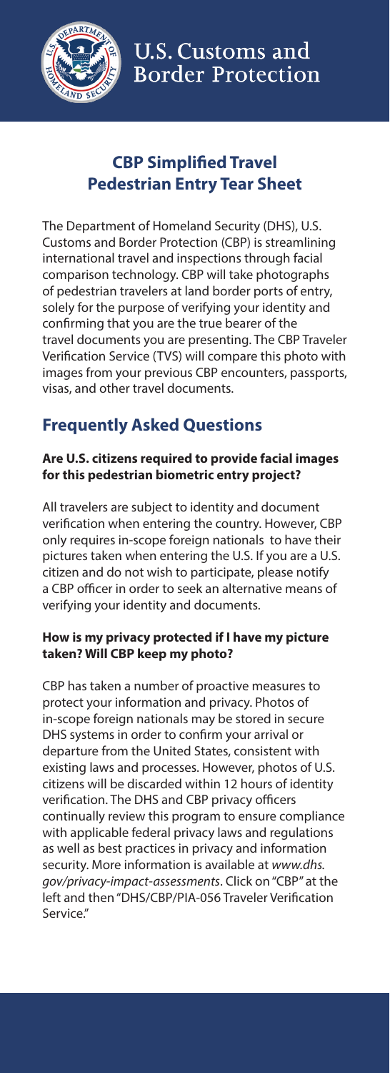

# **CBP Simplified Travel Pedestrian Entry Tear Sheet**

The Department of Homeland Security (DHS), U.S. Customs and Border Protection (CBP) is streamlining international travel and inspections through facial comparison technology. CBP will take photographs of pedestrian travelers at land border ports of entry, solely for the purpose of verifying your identity and confirming that you are the true bearer of the travel documents you are presenting. The CBP Traveler Verification Service (TVS) will compare this photo with images from your previous CBP encounters, passports, visas, and other travel documents.

## **Frequently Asked Questions**

### **Are U.S. citizens required to provide facial images for this pedestrian biometric entry project?**

All travelers are subject to identity and document verification when entering the country. However, CBP only requires in-scope foreign nationals to have their pictures taken when entering the U.S. If you are a U.S. citizen and do not wish to participate, please notify a CBP officer in order to seek an alternative means of verifying your identity and documents.

#### **How is my privacy protected if I have my picture taken? Will CBP keep my photo?**

CBP has taken a number of proactive measures to protect your information and privacy. Photos of in-scope foreign nationals may be stored in secure DHS systems in order to confirm your arrival or departure from the United States, consistent with existing laws and processes. However, photos of U.S. citizens will be discarded within 12 hours of identity verification. The DHS and CBP privacy officers continually review this program to ensure compliance with applicable federal privacy laws and regulations as well as best practices in privacy and information security. More information is available at *www.dhs. gov/privacy-impact-assessments*. Click on "CBP" at the left and then "DHS/CBP/PIA-056 Traveler Verification Service."